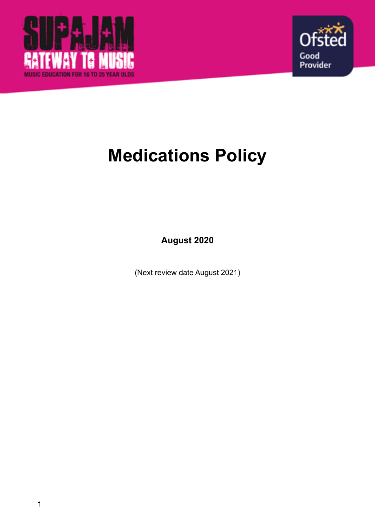



# **Medications Policy**

**August 2020** 

(Next review date August 2021)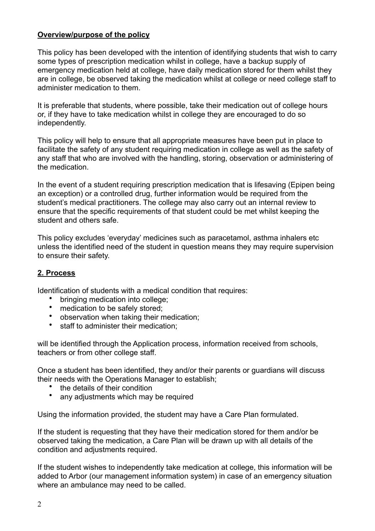# **Overview/purpose of the policy**

This policy has been developed with the intention of identifying students that wish to carry some types of prescription medication whilst in college, have a backup supply of emergency medication held at college, have daily medication stored for them whilst they are in college, be observed taking the medication whilst at college or need college staff to administer medication to them.

It is preferable that students, where possible, take their medication out of college hours or, if they have to take medication whilst in college they are encouraged to do so independently.

This policy will help to ensure that all appropriate measures have been put in place to facilitate the safety of any student requiring medication in college as well as the safety of any staff that who are involved with the handling, storing, observation or administering of the medication.

In the event of a student requiring prescription medication that is lifesaving (Epipen being an exception) or a controlled drug, further information would be required from the student's medical practitioners. The college may also carry out an internal review to ensure that the specific requirements of that student could be met whilst keeping the student and others safe.

This policy excludes 'everyday' medicines such as paracetamol, asthma inhalers etc unless the identified need of the student in question means they may require supervision to ensure their safety.

# **2. Process**

Identification of students with a medical condition that requires:

- bringing medication into college;
- medication to be safely stored;
- observation when taking their medication;
- staff to administer their medication:

will be identified through the Application process, information received from schools, teachers or from other college staff.

Once a student has been identified, they and/or their parents or guardians will discuss their needs with the Operations Manager to establish;

- the details of their condition
- any adjustments which may be required

Using the information provided, the student may have a Care Plan formulated.

If the student is requesting that they have their medication stored for them and/or be observed taking the medication, a Care Plan will be drawn up with all details of the condition and adjustments required.

If the student wishes to independently take medication at college, this information will be added to Arbor (our management information system) in case of an emergency situation where an ambulance may need to be called.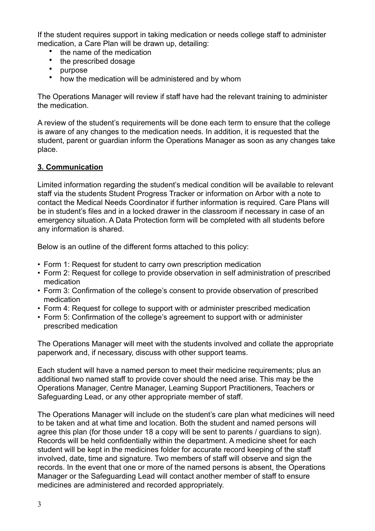If the student requires support in taking medication or needs college staff to administer medication, a Care Plan will be drawn up, detailing:

- the name of the medication
- the prescribed dosage<br>• purpose
- purpose
- how the medication will be administered and by whom

The Operations Manager will review if staff have had the relevant training to administer the medication.

A review of the student's requirements will be done each term to ensure that the college is aware of any changes to the medication needs. In addition, it is requested that the student, parent or guardian inform the Operations Manager as soon as any changes take place.

## **3. Communication**

Limited information regarding the student's medical condition will be available to relevant staff via the students Student Progress Tracker or information on Arbor with a note to contact the Medical Needs Coordinator if further information is required. Care Plans will be in student's files and in a locked drawer in the classroom if necessary in case of an emergency situation. A Data Protection form will be completed with all students before any information is shared.

Below is an outline of the different forms attached to this policy:

- Form 1: Request for student to carry own prescription medication
- Form 2: Request for college to provide observation in self administration of prescribed medication
- Form 3: Confirmation of the college's consent to provide observation of prescribed medication
- Form 4: Request for college to support with or administer prescribed medication
- Form 5: Confirmation of the college's agreement to support with or administer prescribed medication

The Operations Manager will meet with the students involved and collate the appropriate paperwork and, if necessary, discuss with other support teams.

Each student will have a named person to meet their medicine requirements; plus an additional two named staff to provide cover should the need arise. This may be the Operations Manager, Centre Manager, Learning Support Practitioners, Teachers or Safeguarding Lead, or any other appropriate member of staff.

The Operations Manager will include on the student's care plan what medicines will need to be taken and at what time and location. Both the student and named persons will agree this plan (for those under 18 a copy will be sent to parents / guardians to sign). Records will be held confidentially within the department. A medicine sheet for each student will be kept in the medicines folder for accurate record keeping of the staff involved, date, time and signature. Two members of staff will observe and sign the records. In the event that one or more of the named persons is absent, the Operations Manager or the Safeguarding Lead will contact another member of staff to ensure medicines are administered and recorded appropriately.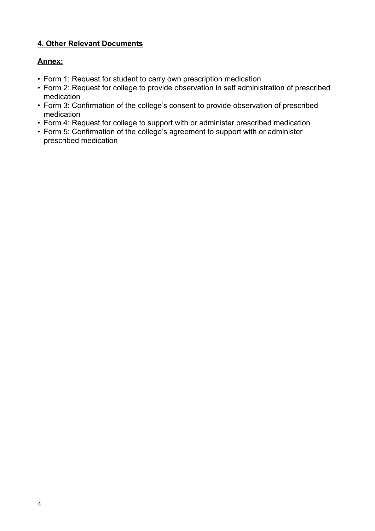# **4. Other Relevant Documents**

# **Annex:**

- Form 1: Request for student to carry own prescription medication
- Form 2: Request for college to provide observation in self administration of prescribed medication
- Form 3: Confirmation of the college's consent to provide observation of prescribed medication
- Form 4: Request for college to support with or administer prescribed medication
- Form 5: Confirmation of the college's agreement to support with or administer prescribed medication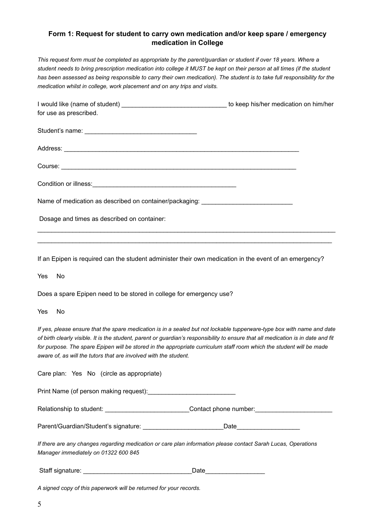## **Form 1: Request for student to carry own medication and/or keep spare / emergency medication in College**

*This request form must be completed as appropriate by the parent/guardian or student if over 18 years. Where a student needs to bring prescription medication into college it MUST be kept on their person at all times (if the student*  has been assessed as being responsible to carry their own medication). The student is to take full responsibility for the *medication whilst in college, work placement and on any trips and visits.* 

| for use as prescribed.                                                           |  |
|----------------------------------------------------------------------------------|--|
|                                                                                  |  |
|                                                                                  |  |
|                                                                                  |  |
|                                                                                  |  |
| Name of medication as described on container/packaging: ________________________ |  |
| Dosage and times as described on container:                                      |  |

If an Epipen is required can the student administer their own medication in the event of an emergency?

 $\_$  , and the set of the set of the set of the set of the set of the set of the set of the set of the set of the set of the set of the set of the set of the set of the set of the set of the set of the set of the set of th

Yes No

Does a spare Epipen need to be stored in college for emergency use?

Yes No

*If yes, please ensure that the spare medication is in a sealed but not lockable tupperware-type box with name and date of birth clearly visible. It is the student, parent or guardian's responsibility to ensure that all medication is in date and fit*  for purpose. The spare Epipen will be stored in the appropriate curriculum staff room which the student will be made *aware of, as will the tutors that are involved with the student.* 

| Care plan: Yes No (circle as appropriate)                                                |                                                                                                               |  |
|------------------------------------------------------------------------------------------|---------------------------------------------------------------------------------------------------------------|--|
| Print Name (of person making request): Name of the Manuscript of person making request): |                                                                                                               |  |
|                                                                                          | Contact phone number:                                                                                         |  |
| Parent/Guardian/Student's signature:                                                     |                                                                                                               |  |
| Manager immediately on 01322 600 845                                                     | If there are any changes regarding medication or care plan information please contact Sarah Lucas, Operations |  |
| Staff signature:                                                                         | Date                                                                                                          |  |

*A signed copy of this paperwork will be returned for your records.*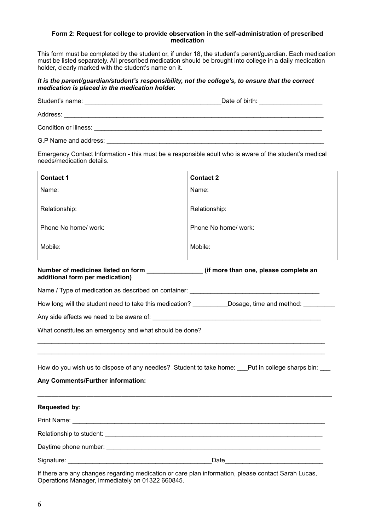#### **Form 2: Request for college to provide observation in the self-administration of prescribed medication**

This form must be completed by the student or, if under 18, the student's parent/guardian. Each medication must be listed separately. All prescribed medication should be brought into college in a daily medication holder, clearly marked with the student's name on it.

#### *It is the parent/guardian/student's responsibility, not the college's, to ensure that the correct medication is placed in the medication holder.*

|                       | Date of birth: |
|-----------------------|----------------|
| Address:              |                |
| Condition or illness: |                |
| G.P Name and address: |                |

Emergency Contact Information - this must be a responsible adult who is aware of the student's medical needs/medication details.

| <b>Contact 1</b>     | <b>Contact 2</b>     |
|----------------------|----------------------|
| Name:                | Name:                |
| Relationship:        | Relationship:        |
| Phone No home/ work: | Phone No home/ work: |
| Mobile:              | Mobile:              |

## **Number of medicines listed on form \_\_\_\_\_\_\_\_\_\_\_\_\_\_\_\_ (if more than one, please complete an additional form per medication)**

Name / Type of medication as described on container:

How long will the student need to take this medication? \_\_\_\_\_\_\_\_\_\_\_\_\_Dosage, time and method: \_\_\_\_\_\_\_\_\_\_\_\_

Any side effects we need to be aware of:

What constitutes an emergency and what should be done?

How do you wish us to dispose of any needles? Student to take home: \_\_\_Put in college sharps bin: \_\_\_

**\_\_\_\_\_\_\_\_\_\_\_\_\_\_\_\_\_\_\_\_\_\_\_\_\_\_\_\_\_\_\_\_\_\_\_\_\_\_\_\_\_\_\_\_\_\_\_\_\_\_\_\_\_\_\_\_\_\_\_\_\_\_\_\_\_\_\_\_\_\_\_\_\_\_\_\_\_\_\_\_\_\_\_\_** 

\_\_\_\_\_\_\_\_\_\_\_\_\_\_\_\_\_\_\_\_\_\_\_\_\_\_\_\_\_\_\_\_\_\_\_\_\_\_\_\_\_\_\_\_\_\_\_\_\_\_\_\_\_\_\_\_\_\_\_\_\_\_\_\_\_\_\_\_\_\_\_\_\_\_\_\_\_\_\_\_\_\_ \_\_\_\_\_\_\_\_\_\_\_\_\_\_\_\_\_\_\_\_\_\_\_\_\_\_\_\_\_\_\_\_\_\_\_\_\_\_\_\_\_\_\_\_\_\_\_\_\_\_\_\_\_\_\_\_\_\_\_\_\_\_\_\_\_\_\_\_\_\_\_\_\_\_\_\_\_\_\_\_\_\_

**Any Comments/Further information:** 

| <b>Requested by:</b>                                                                                            |      |
|-----------------------------------------------------------------------------------------------------------------|------|
|                                                                                                                 |      |
| Relationship to student: Note that the students of the students of the students of the students of the students |      |
|                                                                                                                 |      |
|                                                                                                                 | Date |

If there are any changes regarding medication or care plan information, please contact Sarah Lucas, Operations Manager, immediately on 01322 660845.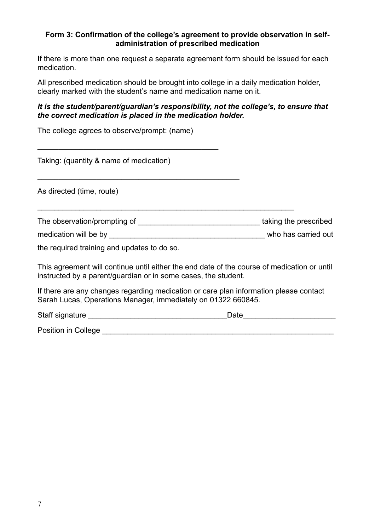## **Form 3: Confirmation of the college's agreement to provide observation in selfadministration of prescribed medication**

If there is more than one request a separate agreement form should be issued for each medication.

All prescribed medication should be brought into college in a daily medication holder, clearly marked with the student's name and medication name on it.

## *It is the student/parent/guardian's responsibility, not the college's, to ensure that the correct medication is placed in the medication holder.*

| The college agrees to observe/prompt: (name)                                                                                                                  |      |
|---------------------------------------------------------------------------------------------------------------------------------------------------------------|------|
| Taking: (quantity & name of medication)                                                                                                                       |      |
| As directed (time, route)                                                                                                                                     |      |
|                                                                                                                                                               |      |
|                                                                                                                                                               |      |
| the required training and updates to do so.                                                                                                                   |      |
| This agreement will continue until either the end date of the course of medication or until<br>instructed by a parent/guardian or in some cases, the student. |      |
| If there are any changes regarding medication or care plan information please contact<br>Sarah Lucas, Operations Manager, immediately on 01322 660845.        |      |
| Staff signature                                                                                                                                               | Date |

Position in College **Exercise 2018** 

7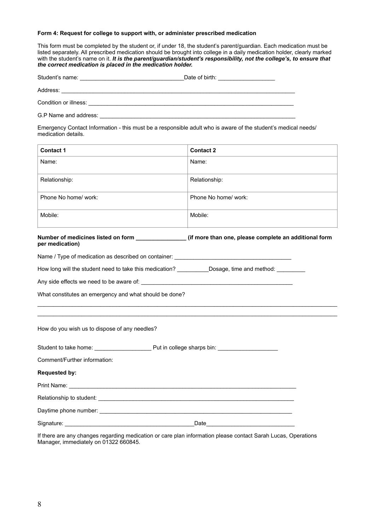#### **Form 4: Request for college to support with, or administer prescribed medication**

This form must be completed by the student or, if under 18, the student's parent/guardian. Each medication must be listed separately. All prescribed medication should be brought into college in a daily medication holder, clearly marked with the student's name on it. It is the parent/guardian/student's responsibility, not the college's, to ensure that *the correct medication is placed in the medication holder.* 

| Student's name: | Date of birth: |  |
|-----------------|----------------|--|
|                 |                |  |

Address: \_\_\_\_\_\_\_\_\_\_\_\_\_\_\_\_\_\_\_\_\_\_\_\_\_\_\_\_\_\_\_\_\_\_\_\_\_\_\_\_\_\_\_\_\_\_\_\_\_\_\_\_\_\_\_\_\_\_\_\_\_\_\_\_\_\_\_\_\_\_\_\_\_\_

Condition or illness: \_\_\_\_\_\_\_\_\_\_\_\_\_\_\_\_\_\_\_\_\_\_\_\_\_\_\_\_\_\_\_\_\_\_\_\_\_\_\_\_\_\_\_\_\_\_\_\_\_\_\_\_\_\_\_\_\_\_\_\_\_\_\_\_\_

G.P Name and address: \_\_\_\_\_\_\_\_\_\_\_\_\_\_\_\_\_\_\_\_\_\_\_\_\_\_\_\_\_\_\_\_\_\_\_\_\_\_\_\_\_\_\_\_\_\_\_\_\_\_\_\_\_\_\_\_\_\_\_\_\_\_

Emergency Contact Information - this must be a responsible adult who is aware of the student's medical needs/ medication details.

| <b>Contact 1</b>                                                                                                           | <b>Contact 2</b>     |  |  |  |
|----------------------------------------------------------------------------------------------------------------------------|----------------------|--|--|--|
| Name:                                                                                                                      | Name:                |  |  |  |
| Relationship:                                                                                                              | Relationship:        |  |  |  |
| Phone No home/ work:                                                                                                       | Phone No home/ work: |  |  |  |
| Mobile:                                                                                                                    | Mobile:              |  |  |  |
| Number of medicines listed on form _______________(if more than one, please complete an additional form<br>per medication) |                      |  |  |  |
| Name / Type of medication as described on container: ____________________________                                          |                      |  |  |  |
| How long will the student need to take this medication? ____________Dosage, time and method: __________                    |                      |  |  |  |
|                                                                                                                            |                      |  |  |  |
| What constitutes an emergency and what should be done?                                                                     |                      |  |  |  |
| How do you wish us to dispose of any needles?                                                                              |                      |  |  |  |
| Student to take home: Put in college sharps bin:                                                                           |                      |  |  |  |
| Comment/Further information:                                                                                               |                      |  |  |  |
| <b>Requested by:</b>                                                                                                       |                      |  |  |  |
|                                                                                                                            |                      |  |  |  |
|                                                                                                                            |                      |  |  |  |
|                                                                                                                            |                      |  |  |  |
|                                                                                                                            |                      |  |  |  |

If there are any changes regarding medication or care plan information please contact Sarah Lucas, Operations Manager, immediately on 01322 660845.